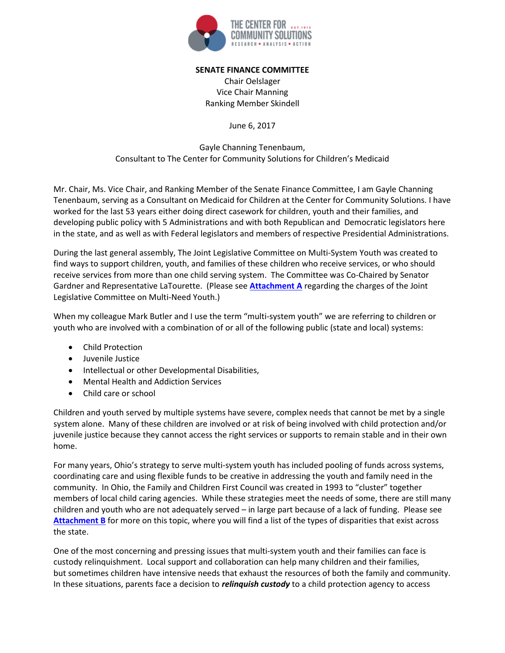

#### **SENATE FINANCE COMMITTEE**

Chair Oelslager Vice Chair Manning Ranking Member Skindell

June 6, 2017

Gayle Channing Tenenbaum, Consultant to The Center for Community Solutions for Children's Medicaid

Mr. Chair, Ms. Vice Chair, and Ranking Member of the Senate Finance Committee, I am Gayle Channing Tenenbaum, serving as a Consultant on Medicaid for Children at the Center for Community Solutions. I have worked for the last 53 years either doing direct casework for children, youth and their families, and developing public policy with 5 Administrations and with both Republican and Democratic legislators here in the state, and as well as with Federal legislators and members of respective Presidential Administrations.

During the last general assembly, The Joint Legislative Committee on Multi-System Youth was created to find ways to support children, youth, and families of these children who receive services, or who should receive services from more than one child serving system. The Committee was Co-Chaired by Senator Gardner and Representative LaTourette. (Please see **Attachment A** regarding the charges of the Joint Legislative Committee on Multi-Need Youth.)

When my colleague Mark Butler and I use the term "multi-system youth" we are referring to children or youth who are involved with a combination of or all of the following public (state and local) systems:

- Child Protection
- Juvenile Justice
- Intellectual or other Developmental Disabilities,
- Mental Health and Addiction Services
- Child care or school

Children and youth served by multiple systems have severe, complex needs that cannot be met by a single system alone. Many of these children are involved or at risk of being involved with child protection and/or juvenile justice because they cannot access the right services or supports to remain stable and in their own home.

For many years, Ohio's strategy to serve multi-system youth has included pooling of funds across systems, coordinating care and using flexible funds to be creative in addressing the youth and family need in the community. In Ohio, the Family and Children First Council was created in 1993 to "cluster" together members of local child caring agencies. While these strategies meet the needs of some, there are still many children and youth who are not adequately served – in large part because of a lack of funding. Please see **Attachment B** for more on this topic, where you will find a list of the types of disparities that exist across the state.

One of the most concerning and pressing issues that multi-system youth and their families can face is custody relinquishment. Local support and collaboration can help many children and their families, but sometimes children have intensive needs that exhaust the resources of both the family and community. In these situations, parents face a decision to *relinquish custody* to a child protection agency to access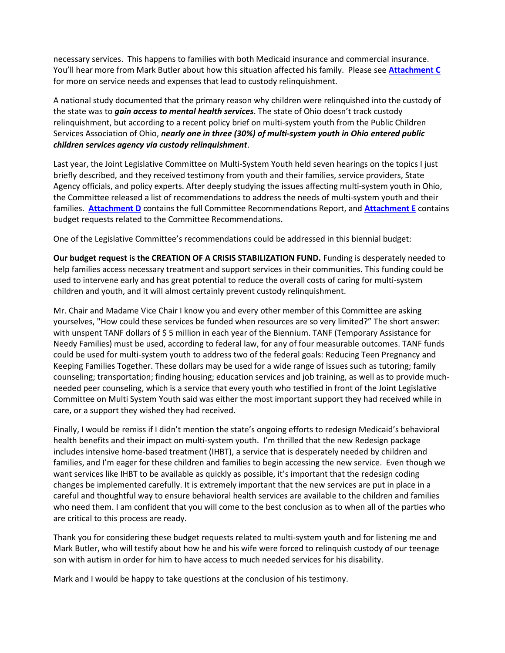necessary services. This happens to families with both Medicaid insurance and commercial insurance. You'll hear more from Mark Butler about how this situation affected his family. Please see **Attachment C** for more on service needs and expenses that lead to custody relinquishment.

A national study documented that the primary reason why children were relinquished into the custody of the state was to *gain access to mental health services*. The state of Ohio doesn't track custody relinquishment, but according to a recent policy brief on multi-system youth from the Public Children Services Association of Ohio, *nearly one in three (30%) of multi-system youth in Ohio entered public children services agency via custody relinquishment*.

Last year, the Joint Legislative Committee on Multi-System Youth held seven hearings on the topics I just briefly described, and they received testimony from youth and their families, service providers, State Agency officials, and policy experts. After deeply studying the issues affecting multi-system youth in Ohio, the Committee released a list of recommendations to address the needs of multi-system youth and their families. **Attachment D** contains the full Committee Recommendations Report, and **Attachment E** contains budget requests related to the Committee Recommendations.

One of the Legislative Committee's recommendations could be addressed in this biennial budget:

**Our budget request is the CREATION OF A CRISIS STABILIZATION FUND.** Funding is desperately needed to help families access necessary treatment and support services in their communities. This funding could be used to intervene early and has great potential to reduce the overall costs of caring for multi-system children and youth, and it will almost certainly prevent custody relinquishment.

Mr. Chair and Madame Vice Chair I know you and every other member of this Committee are asking yourselves, "How could these services be funded when resources are so very limited?" The short answer: with unspent TANF dollars of \$ 5 million in each year of the Biennium. TANF (Temporary Assistance for Needy Families) must be used, according to federal law, for any of four measurable outcomes. TANF funds could be used for multi-system youth to address two of the federal goals: Reducing Teen Pregnancy and Keeping Families Together. These dollars may be used for a wide range of issues such as tutoring; family counseling; transportation; finding housing; education services and job training, as well as to provide muchneeded peer counseling, which is a service that every youth who testified in front of the Joint Legislative Committee on Multi System Youth said was either the most important support they had received while in care, or a support they wished they had received.

Finally, I would be remiss if I didn't mention the state's ongoing efforts to redesign Medicaid's behavioral health benefits and their impact on multi-system youth. I'm thrilled that the new Redesign package includes intensive home-based treatment (IHBT), a service that is desperately needed by children and families, and I'm eager for these children and families to begin accessing the new service. Even though we want services like IHBT to be available as quickly as possible, it's important that the redesign coding changes be implemented carefully. It is extremely important that the new services are put in place in a careful and thoughtful way to ensure behavioral health services are available to the children and families who need them. I am confident that you will come to the best conclusion as to when all of the parties who are critical to this process are ready.

Thank you for considering these budget requests related to multi-system youth and for listening me and Mark Butler, who will testify about how he and his wife were forced to relinquish custody of our teenage son with autism in order for him to have access to much needed services for his disability.

Mark and I would be happy to take questions at the conclusion of his testimony.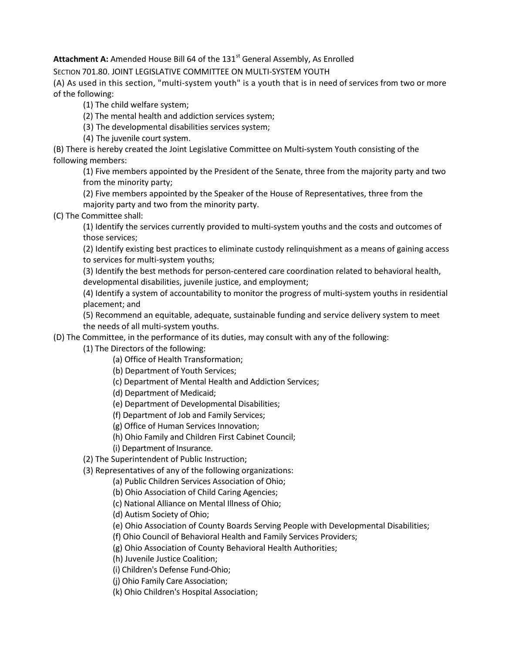Attachment A: Amended House Bill 64 of the 131<sup>st</sup> General Assembly, As Enrolled

SECTION 701.80. JOINT LEGISLATIVE COMMITTEE ON MULTI-SYSTEM YOUTH

(A) As used in this section, "multi-system youth" is a youth that is in need of services from two or more of the following:

(1) The child welfare system;

(2) The mental health and addiction services system;

(3) The developmental disabilities services system;

(4) The juvenile court system.

(B) There is hereby created the Joint Legislative Committee on Multi-system Youth consisting of the following members:

(1) Five members appointed by the President of the Senate, three from the majority party and two from the minority party;

(2) Five members appointed by the Speaker of the House of Representatives, three from the majority party and two from the minority party.

(C) The Committee shall:

(1) Identify the services currently provided to multi-system youths and the costs and outcomes of those services;

(2) Identify existing best practices to eliminate custody relinquishment as a means of gaining access to services for multi-system youths;

(3) Identify the best methods for person-centered care coordination related to behavioral health, developmental disabilities, juvenile justice, and employment;

(4) Identify a system of accountability to monitor the progress of multi-system youths in residential placement; and

(5) Recommend an equitable, adequate, sustainable funding and service delivery system to meet the needs of all multi-system youths.

(D) The Committee, in the performance of its duties, may consult with any of the following:

(1) The Directors of the following:

(a) Office of Health Transformation;

- (b) Department of Youth Services;
- (c) Department of Mental Health and Addiction Services;

(d) Department of Medicaid;

(e) Department of Developmental Disabilities;

(f) Department of Job and Family Services;

- (g) Office of Human Services Innovation;
- (h) Ohio Family and Children First Cabinet Council;

(i) Department of Insurance.

(2) The Superintendent of Public Instruction;

(3) Representatives of any of the following organizations:

(a) Public Children Services Association of Ohio;

(b) Ohio Association of Child Caring Agencies;

(c) National Alliance on Mental Illness of Ohio;

(d) Autism Society of Ohio;

(e) Ohio Association of County Boards Serving People with Developmental Disabilities;

(f) Ohio Council of Behavioral Health and Family Services Providers;

(g) Ohio Association of County Behavioral Health Authorities;

(h) Juvenile Justice Coalition;

(i) Children's Defense Fund-Ohio;

(j) Ohio Family Care Association;

(k) Ohio Children's Hospital Association;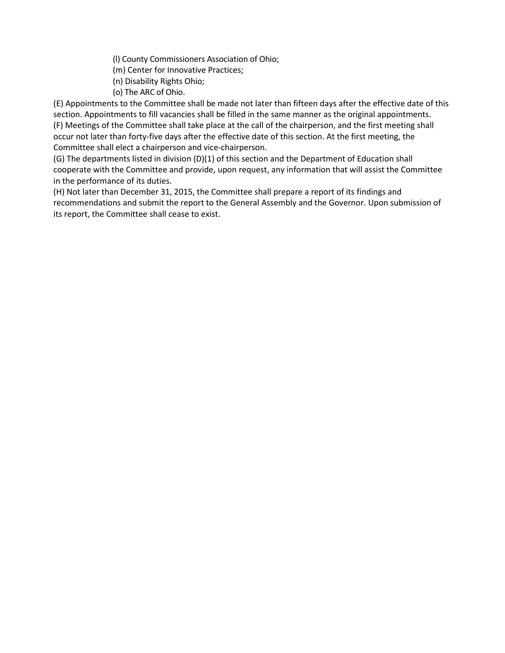(l) County Commissioners Association of Ohio;

(m) Center for Innovative Practices;

- (n) Disability Rights Ohio;
- (o) The ARC of Ohio.

(E) Appointments to the Committee shall be made not later than fifteen days after the effective date of this section. Appointments to fill vacancies shall be filled in the same manner as the original appointments. (F) Meetings of the Committee shall take place at the call of the chairperson, and the first meeting shall occur not later than forty-five days after the effective date of this section. At the first meeting, the Committee shall elect a chairperson and vice-chairperson.

(G) The departments listed in division (D)(1) of this section and the Department of Education shall cooperate with the Committee and provide, upon request, any information that will assist the Committee in the performance of its duties.

(H) Not later than December 31, 2015, the Committee shall prepare a report of its findings and recommendations and submit the report to the General Assembly and the Governor. Upon submission of its report, the Committee shall cease to exist.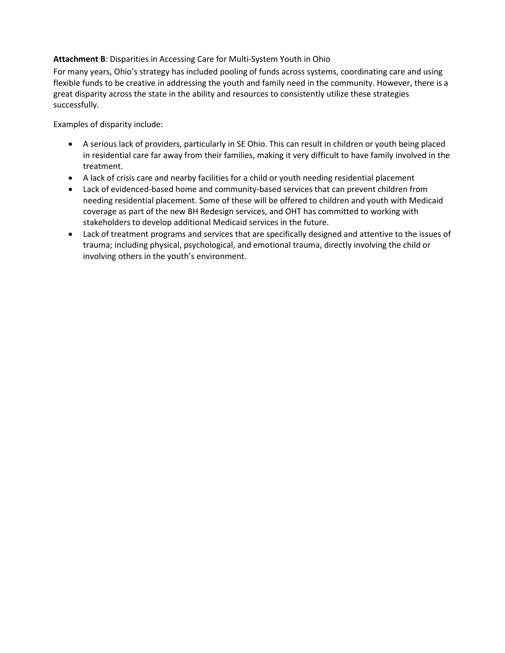## **Attachment B**: Disparities in Accessing Care for Multi-System Youth in Ohio

For many years, Ohio's strategy has included pooling of funds across systems, coordinating care and using flexible funds to be creative in addressing the youth and family need in the community. However, there is a great disparity across the state in the ability and resources to consistently utilize these strategies successfully.

Examples of disparity include:

- A serious lack of providers, particularly in SE Ohio. This can result in children or youth being placed in residential care far away from their families, making it very difficult to have family involved in the treatment.
- A lack of crisis care and nearby facilities for a child or youth needing residential placement
- Lack of evidenced-based home and community-based services that can prevent children from needing residential placement. Some of these will be offered to children and youth with Medicaid coverage as part of the new BH Redesign services, and OHT has committed to working with stakeholders to develop additional Medicaid services in the future.
- Lack of treatment programs and services that are specifically designed and attentive to the issues of trauma; including physical, psychological, and emotional trauma, directly involving the child or involving others in the youth's environment.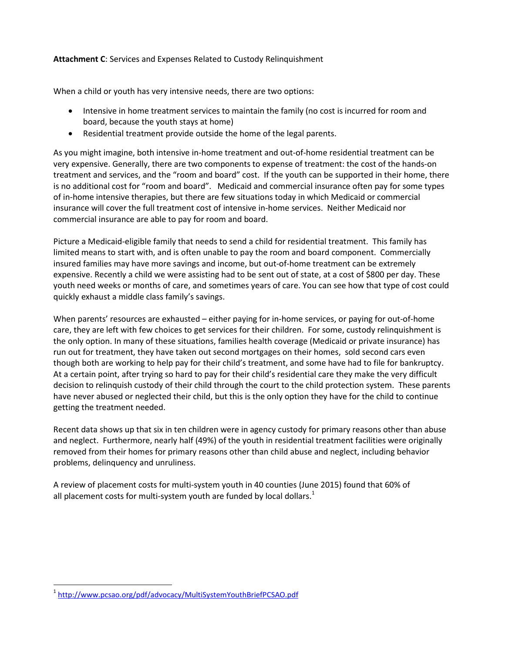## **Attachment C**: Services and Expenses Related to Custody Relinquishment

When a child or youth has very intensive needs, there are two options:

- Intensive in home treatment services to maintain the family (no cost is incurred for room and board, because the youth stays at home)
- Residential treatment provide outside the home of the legal parents.

As you might imagine, both intensive in-home treatment and out-of-home residential treatment can be very expensive. Generally, there are two components to expense of treatment: the cost of the hands-on treatment and services, and the "room and board" cost. If the youth can be supported in their home, there is no additional cost for "room and board". Medicaid and commercial insurance often pay for some types of in-home intensive therapies, but there are few situations today in which Medicaid or commercial insurance will cover the full treatment cost of intensive in-home services. Neither Medicaid nor commercial insurance are able to pay for room and board.

Picture a Medicaid-eligible family that needs to send a child for residential treatment. This family has limited means to start with, and is often unable to pay the room and board component. Commercially insured families may have more savings and income, but out-of-home treatment can be extremely expensive. Recently a child we were assisting had to be sent out of state, at a cost of \$800 per day. These youth need weeks or months of care, and sometimes years of care. You can see how that type of cost could quickly exhaust a middle class family's savings.

When parents' resources are exhausted – either paying for in-home services, or paying for out-of-home care, they are left with few choices to get services for their children. For some, custody relinquishment is the only option. In many of these situations, families health coverage (Medicaid or private insurance) has run out for treatment, they have taken out second mortgages on their homes, sold second cars even though both are working to help pay for their child's treatment, and some have had to file for bankruptcy. At a certain point, after trying so hard to pay for their child's residential care they make the very difficult decision to relinquish custody of their child through the court to the child protection system. These parents have never abused or neglected their child, but this is the only option they have for the child to continue getting the treatment needed.

Recent data shows up that six in ten children were in agency custody for primary reasons other than abuse and neglect. Furthermore, nearly half (49%) of the youth in residential treatment facilities were originally removed from their homes for primary reasons other than child abuse and neglect, including behavior problems, delinquency and unruliness.

A review of placement costs for multi-system youth in 40 counties (June 2015) found that 60% of all placement costs for multi-system youth are funded by local dollars. $<sup>1</sup>$ </sup>

<sup>1</sup> http://www.pcsao.org/pdf/advocacy/MultiSystemYouthBriefPCSAO.pdf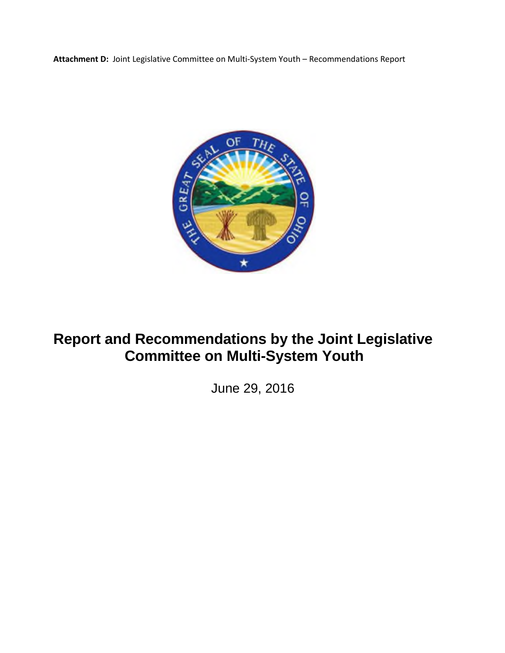**Attachment D:** Joint Legislative Committee on Multi-System Youth – Recommendations Report



# **Report and Recommendations by the Joint Legislative Committee on Multi-System Youth**

June 29, 2016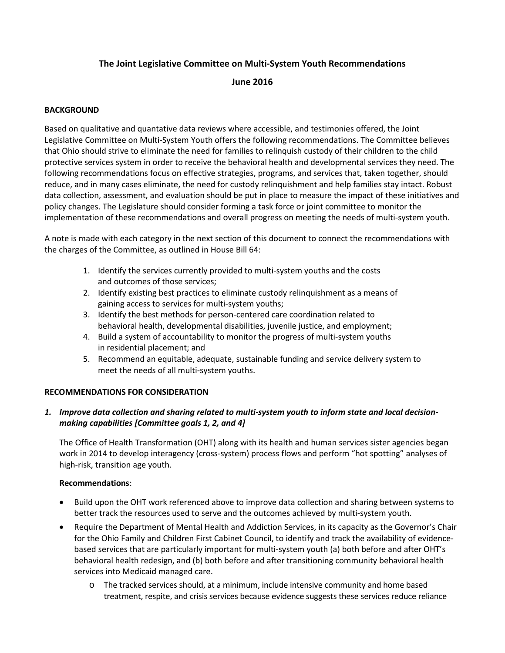## **The Joint Legislative Committee on Multi-System Youth Recommendations**

## **June 2016**

### **BACKGROUND**

Based on qualitative and quantative data reviews where accessible, and testimonies offered, the Joint Legislative Committee on Multi-System Youth offers the following recommendations. The Committee believes that Ohio should strive to eliminate the need for families to relinquish custody of their children to the child protective services system in order to receive the behavioral health and developmental services they need. The following recommendations focus on effective strategies, programs, and services that, taken together, should reduce, and in many cases eliminate, the need for custody relinquishment and help families stay intact. Robust data collection, assessment, and evaluation should be put in place to measure the impact of these initiatives and policy changes. The Legislature should consider forming a task force or joint committee to monitor the implementation of these recommendations and overall progress on meeting the needs of multi-system youth.

A note is made with each category in the next section of this document to connect the recommendations with the charges of the Committee, as outlined in House Bill 64:

- 1. Identify the services currently provided to multi-system youths and the costs and outcomes of those services;
- 2. Identify existing best practices to eliminate custody relinquishment as a means of gaining access to services for multi-system youths;
- 3. Identify the best methods for person-centered care coordination related to behavioral health, developmental disabilities, juvenile justice, and employment;
- 4. Build a system of accountability to monitor the progress of multi-system youths in residential placement; and
- 5. Recommend an equitable, adequate, sustainable funding and service delivery system to meet the needs of all multi-system youths.

#### **RECOMMENDATIONS FOR CONSIDERATION**

## *1. Improve data collection and sharing related to multi-system youth to inform state and local decisionmaking capabilities [Committee goals 1, 2, and 4]*

The Office of Health Transformation (OHT) along with its health and human services sister agencies began work in 2014 to develop interagency (cross-system) process flows and perform "hot spotting" analyses of high-risk, transition age youth.

#### **Recommendations**:

- Build upon the OHT work referenced above to improve data collection and sharing between systems to better track the resources used to serve and the outcomes achieved by multi-system youth.
- Require the Department of Mental Health and Addiction Services, in its capacity as the Governor's Chair for the Ohio Family and Children First Cabinet Council, to identify and track the availability of evidencebased services that are particularly important for multi-system youth (a) both before and after OHT's behavioral health redesign, and (b) both before and after transitioning community behavioral health services into Medicaid managed care.
	- o The tracked services should, at a minimum, include intensive community and home based treatment, respite, and crisis services because evidence suggests these services reduce reliance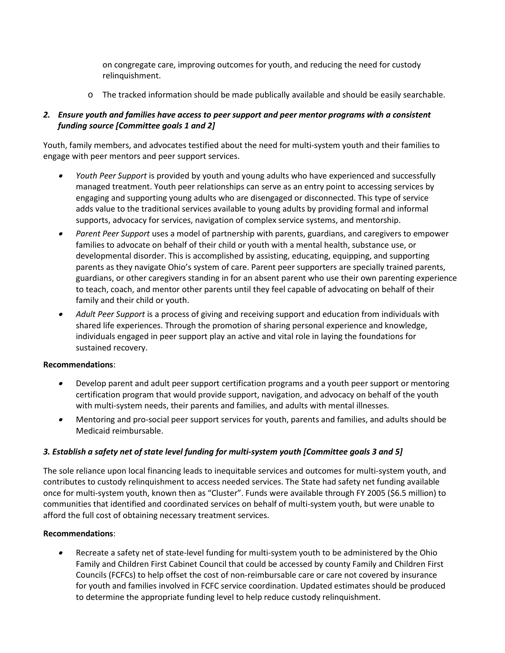on congregate care, improving outcomes for youth, and reducing the need for custody relinquishment.

o The tracked information should be made publically available and should be easily searchable.

## *2. Ensure youth and families have access to peer support and peer mentor programs with a consistent funding source [Committee goals 1 and 2]*

Youth, family members, and advocates testified about the need for multi-system youth and their families to engage with peer mentors and peer support services.

- . *Youth Peer Support* is provided by youth and young adults who have experienced and successfully managed treatment. Youth peer relationships can serve as an entry point to accessing services by engaging and supporting young adults who are disengaged or disconnected. This type of service adds value to the traditional services available to young adults by providing formal and informal supports, advocacy for services, navigation of complex service systems, and mentorship.
- $\bullet$  *Parent Peer Support* uses a model of partnership with parents, guardians, and caregivers to empower families to advocate on behalf of their child or youth with a mental health, substance use, or developmental disorder. This is accomplished by assisting, educating, equipping, and supporting parents as they navigate Ohio's system of care. Parent peer supporters are specially trained parents, guardians, or other caregivers standing in for an absent parent who use their own parenting experience to teach, coach, and mentor other parents until they feel capable of advocating on behalf of their family and their child or youth.
- $\bullet$  *Adult Peer Support* is a process of giving and receiving support and education from individuals with shared life experiences. Through the promotion of sharing personal experience and knowledge, individuals engaged in peer support play an active and vital role in laying the foundations for sustained recovery.

#### **Recommendations**:

- $\bullet$  Develop parent and adult peer support certification programs and a youth peer support or mentoring certification program that would provide support, navigation, and advocacy on behalf of the youth with multi-system needs, their parents and families, and adults with mental illnesses.
- $\bullet$  Mentoring and pro-social peer support services for youth, parents and families, and adults should be Medicaid reimbursable.

## *3. Establish a safety net of state level funding for multi-system youth [Committee goals 3 and 5]*

The sole reliance upon local financing leads to inequitable services and outcomes for multi-system youth, and contributes to custody relinquishment to access needed services. The State had safety net funding available once for multi-system youth, known then as "Cluster". Funds were available through FY 2005 (\$6.5 million) to communities that identified and coordinated services on behalf of multi-system youth, but were unable to afford the full cost of obtaining necessary treatment services.

#### **Recommendations**:

. Recreate a safety net of state-level funding for multi-system youth to be administered by the Ohio Family and Children First Cabinet Council that could be accessed by county Family and Children First Councils (FCFCs) to help offset the cost of non-reimbursable care or care not covered by insurance for youth and families involved in FCFC service coordination. Updated estimates should be produced to determine the appropriate funding level to help reduce custody relinquishment.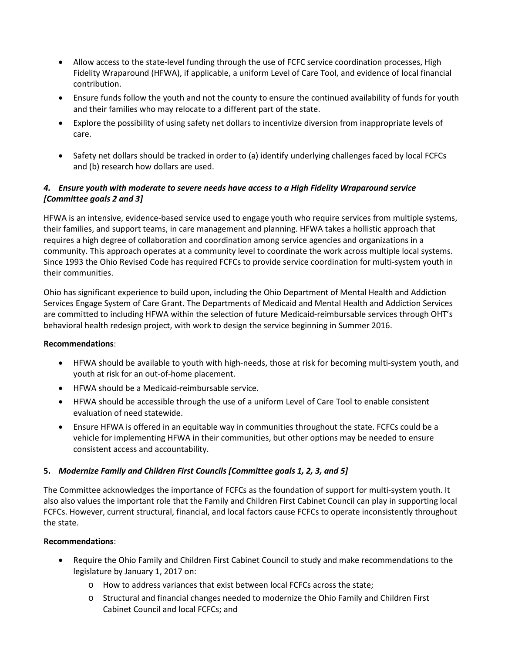- Allow access to the state-level funding through the use of FCFC service coordination processes, High Fidelity Wraparound (HFWA), if applicable, a uniform Level of Care Tool, and evidence of local financial contribution.
- Ensure funds follow the youth and not the county to ensure the continued availability of funds for youth and their families who may relocate to a different part of the state.
- Explore the possibility of using safety net dollars to incentivize diversion from inappropriate levels of care.
- Safety net dollars should be tracked in order to (a) identify underlying challenges faced by local FCFCs and (b) research how dollars are used.

## *4. Ensure youth with moderate to severe needs have access to a High Fidelity Wraparound service [Committee goals 2 and 3]*

HFWA is an intensive, evidence-based service used to engage youth who require services from multiple systems, their families, and support teams, in care management and planning. HFWA takes a hollistic approach that requires a high degree of collaboration and coordination among service agencies and organizations in a community. This approach operates at a community level to coordinate the work across multiple local systems. Since 1993 the Ohio Revised Code has required FCFCs to provide service coordination for multi-system youth in their communities.

Ohio has significant experience to build upon, including the Ohio Department of Mental Health and Addiction Services Engage System of Care Grant. The Departments of Medicaid and Mental Health and Addiction Services are committed to including HFWA within the selection of future Medicaid-reimbursable services through OHT's behavioral health redesign project, with work to design the service beginning in Summer 2016.

#### **Recommendations**:

- HFWA should be available to youth with high-needs, those at risk for becoming multi-system youth, and youth at risk for an out-of-home placement.
- HFWA should be a Medicaid-reimbursable service.
- HFWA should be accessible through the use of a uniform Level of Care Tool to enable consistent evaluation of need statewide.
- Ensure HFWA is offered in an equitable way in communities throughout the state. FCFCs could be a vehicle for implementing HFWA in their communities, but other options may be needed to ensure consistent access and accountability.

## **5.** *Modernize Family and Children First Councils [Committee goals 1, 2, 3, and 5]*

The Committee acknowledges the importance of FCFCs as the foundation of support for multi-system youth. It also also values the important role that the Family and Children First Cabinet Council can play in supporting local FCFCs. However, current structural, financial, and local factors cause FCFCs to operate inconsistently throughout the state.

#### **Recommendations**:

- Require the Ohio Family and Children First Cabinet Council to study and make recommendations to the legislature by January 1, 2017 on:
	- o How to address variances that exist between local FCFCs across the state;
	- o Structural and financial changes needed to modernize the Ohio Family and Children First Cabinet Council and local FCFCs; and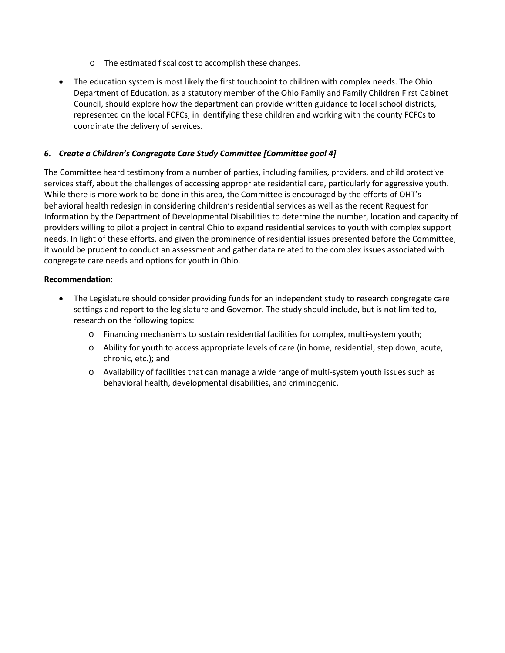- o The estimated fiscal cost to accomplish these changes.
- The education system is most likely the first touchpoint to children with complex needs. The Ohio Department of Education, as a statutory member of the Ohio Family and Family Children First Cabinet Council, should explore how the department can provide written guidance to local school districts, represented on the local FCFCs, in identifying these children and working with the county FCFCs to coordinate the delivery of services.

## *6. Create a Children's Congregate Care Study Committee [Committee goal 4]*

The Committee heard testimony from a number of parties, including families, providers, and child protective services staff, about the challenges of accessing appropriate residential care, particularly for aggressive youth. While there is more work to be done in this area, the Committee is encouraged by the efforts of OHT's behavioral health redesign in considering children's residential services as well as the recent Request for Information by the Department of Developmental Disabilities to determine the number, location and capacity of providers willing to pilot a project in central Ohio to expand residential services to youth with complex support needs. In light of these efforts, and given the prominence of residential issues presented before the Committee, it would be prudent to conduct an assessment and gather data related to the complex issues associated with congregate care needs and options for youth in Ohio.

#### **Recommendation**:

- The Legislature should consider providing funds for an independent study to research congregate care settings and report to the legislature and Governor. The study should include, but is not limited to, research on the following topics:
	- o Financing mechanisms to sustain residential facilities for complex, multi-system youth;
	- o Ability for youth to access appropriate levels of care (in home, residential, step down, acute, chronic, etc.); and
	- o Availability of facilities that can manage a wide range of multi-system youth issues such as behavioral health, developmental disabilities, and criminogenic.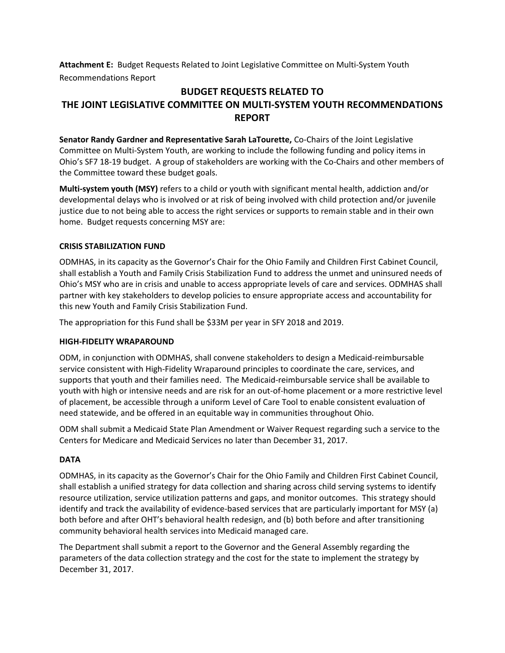**Attachment E:** Budget Requests Related to Joint Legislative Committee on Multi-System Youth Recommendations Report

## **BUDGET REQUESTS RELATED TO THE JOINT LEGISLATIVE COMMITTEE ON MULTI-SYSTEM YOUTH RECOMMENDATIONS REPORT**

**Senator Randy Gardner and Representative Sarah LaTourette,** Co-Chairs of the Joint Legislative Committee on Multi-System Youth, are working to include the following funding and policy items in Ohio's SF7 18-19 budget. A group of stakeholders are working with the Co-Chairs and other members of the Committee toward these budget goals.

**Multi-system youth (MSY)** refers to a child or youth with significant mental health, addiction and/or developmental delays who is involved or at risk of being involved with child protection and/or juvenile justice due to not being able to access the right services or supports to remain stable and in their own home. Budget requests concerning MSY are:

### **CRISIS STABILIZATION FUND**

ODMHAS, in its capacity as the Governor's Chair for the Ohio Family and Children First Cabinet Council, shall establish a Youth and Family Crisis Stabilization Fund to address the unmet and uninsured needs of Ohio's MSY who are in crisis and unable to access appropriate levels of care and services. ODMHAS shall partner with key stakeholders to develop policies to ensure appropriate access and accountability for this new Youth and Family Crisis Stabilization Fund.

The appropriation for this Fund shall be \$33M per year in SFY 2018 and 2019.

## **HIGH-FIDELITY WRAPAROUND**

ODM, in conjunction with ODMHAS, shall convene stakeholders to design a Medicaid-reimbursable service consistent with High-Fidelity Wraparound principles to coordinate the care, services, and supports that youth and their families need. The Medicaid-reimbursable service shall be available to youth with high or intensive needs and are risk for an out-of-home placement or a more restrictive level of placement, be accessible through a uniform Level of Care Tool to enable consistent evaluation of need statewide, and be offered in an equitable way in communities throughout Ohio.

ODM shall submit a Medicaid State Plan Amendment or Waiver Request regarding such a service to the Centers for Medicare and Medicaid Services no later than December 31, 2017.

## **DATA**

ODMHAS, in its capacity as the Governor's Chair for the Ohio Family and Children First Cabinet Council, shall establish a unified strategy for data collection and sharing across child serving systems to identify resource utilization, service utilization patterns and gaps, and monitor outcomes. This strategy should identify and track the availability of evidence-based services that are particularly important for MSY (a) both before and after OHT's behavioral health redesign, and (b) both before and after transitioning community behavioral health services into Medicaid managed care.

The Department shall submit a report to the Governor and the General Assembly regarding the parameters of the data collection strategy and the cost for the state to implement the strategy by December 31, 2017.